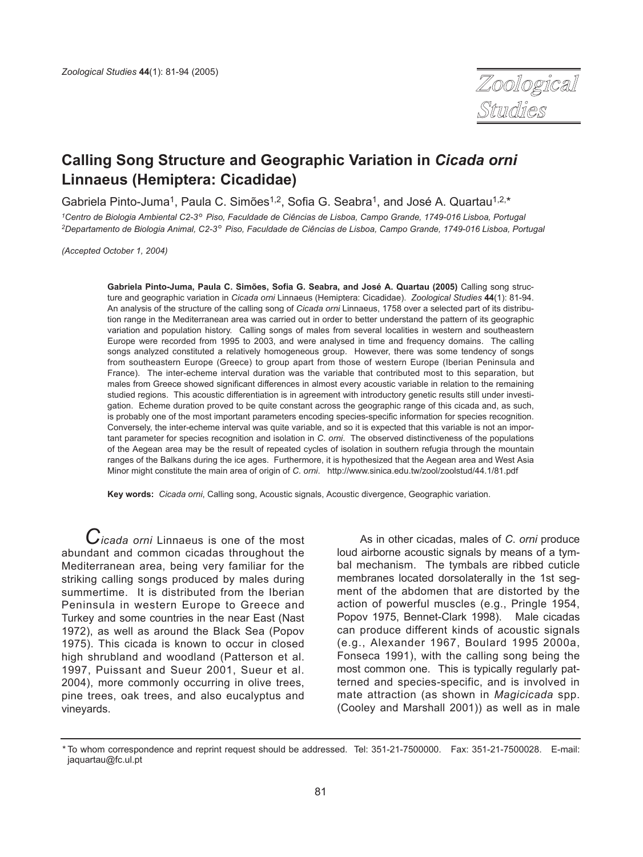

# **Calling Song Structure and Geographic Variation in** *Cicada orni* **Linnaeus (Hemiptera: Cicadidae)**

Gabriela Pinto-Juma<sup>1</sup>, Paula C. Simões<sup>1,2</sup>, Sofia G. Seabra<sup>1</sup>, and José A. Quartau<sup>1,2,\*</sup>

*1Centro de Biologia Ambiental C2-3*°*Piso, Faculdade de Ciências de Lisboa, Campo Grande, 1749-016 Lisboa, Portugal 2Departamento de Biologia Animal, C2-3*°*Piso, Faculdade de Ciências de Lisboa, Campo Grande, 1749-016 Lisboa, Portugal*

*(Accepted October 1, 2004)*

**Gabriela Pinto-Juma, Paula C. Simões, Sofia G. Seabra, and José A. Quartau (2005)** Calling song structure and geographic variation in *Cicada orni* Linnaeus (Hemiptera: Cicadidae). *Zoological Studies* **44**(1): 81-94. An analysis of the structure of the calling song of *Cicada orni* Linnaeus, 1758 over a selected part of its distribution range in the Mediterranean area was carried out in order to better understand the pattern of its geographic variation and population history. Calling songs of males from several localities in western and southeastern Europe were recorded from 1995 to 2003, and were analysed in time and frequency domains. The calling songs analyzed constituted a relatively homogeneous group. However, there was some tendency of songs from southeastern Europe (Greece) to group apart from those of western Europe (Iberian Peninsula and France). The inter-echeme interval duration was the variable that contributed most to this separation, but males from Greece showed significant differences in almost every acoustic variable in relation to the remaining studied regions. This acoustic differentiation is in agreement with introductory genetic results still under investigation. Echeme duration proved to be quite constant across the geographic range of this cicada and, as such, is probably one of the most important parameters encoding species-specific information for species recognition. Conversely, the inter-echeme interval was quite variable, and so it is expected that this variable is not an important parameter for species recognition and isolation in *C*. *orni*. The observed distinctiveness of the populations of the Aegean area may be the result of repeated cycles of isolation in southern refugia through the mountain ranges of the Balkans during the ice ages. Furthermore, it is hypothesized that the Aegean area and West Asia Minor might constitute the main area of origin of *C*. *orni*. http://www.sinica.edu.tw/zool/zoolstud/44.1/81.pdf

**Key words:** *Cicada orni*, Calling song, Acoustic signals, Acoustic divergence, Geographic variation.

*Cicada orni* Linnaeus is one of the most abundant and common cicadas throughout the Mediterranean area, being very familiar for the striking calling songs produced by males during summertime. It is distributed from the Iberian Peninsula in western Europe to Greece and Turkey and some countries in the near East (Nast 1972), as well as around the Black Sea (Popov 1975). This cicada is known to occur in closed high shrubland and woodland (Patterson et al. 1997, Puissant and Sueur 2001, Sueur et al. 2004), more commonly occurring in olive trees, pine trees, oak trees, and also eucalyptus and vineyards.

As in other cicadas, males of *C*. *orni* produce loud airborne acoustic signals by means of a tymbal mechanism. The tymbals are ribbed cuticle membranes located dorsolaterally in the 1st segment of the abdomen that are distorted by the action of powerful muscles (e.g., Pringle 1954, Popov 1975, Bennet-Clark 1998). Male cicadas can produce different kinds of acoustic signals (e.g., Alexander 1967, Boulard 1995 2000a, Fonseca 1991), with the calling song being the most common one. This is typically regularly patterned and species-specific, and is involved in mate attraction (as shown in *Magicicada* spp. (Cooley and Marshall 2001)) as well as in male

*<sup>\*</sup>* To whom correspondence and reprint request should be addressed. Tel: 351-21-7500000. Fax: 351-21-7500028. E-mail: jaquartau@fc.ul.pt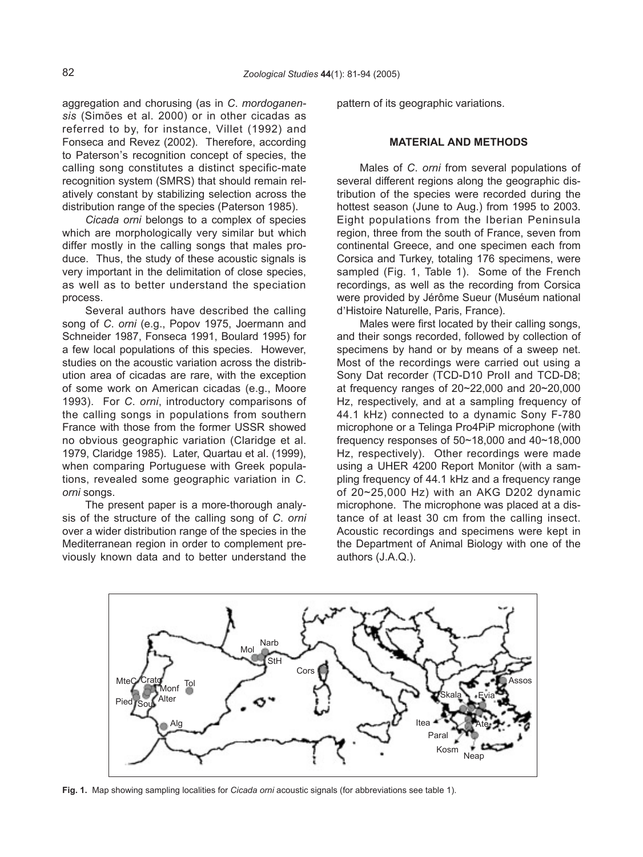aggregation and chorusing (as in *C*. *mordoganensis* (Simões et al. 2000) or in other cicadas as referred to by, for instance, Villet (1992) and Fonseca and Revez (2002). Therefore, according to Paterson's recognition concept of species, the calling song constitutes a distinct specific-mate recognition system (SMRS) that should remain relatively constant by stabilizing selection across the distribution range of the species (Paterson 1985).

*Cicada orni* belongs to a complex of species which are morphologically very similar but which differ mostly in the calling songs that males produce. Thus, the study of these acoustic signals is very important in the delimitation of close species, as well as to better understand the speciation process.

Several authors have described the calling song of *C*. *orni* (e.g., Popov 1975, Joermann and Schneider 1987, Fonseca 1991, Boulard 1995) for a few local populations of this species. However, studies on the acoustic variation across the distribution area of cicadas are rare, with the exception of some work on American cicadas (e.g., Moore 1993). For *C*. *orni*, introductory comparisons of the calling songs in populations from southern France with those from the former USSR showed no obvious geographic variation (Claridge et al. 1979, Claridge 1985). Later, Quartau et al. (1999), when comparing Portuguese with Greek populations, revealed some geographic variation in *C*. *orni* songs.

The present paper is a more-thorough analysis of the structure of the calling song of *C*. *orni* over a wider distribution range of the species in the Mediterranean region in order to complement previously known data and to better understand the pattern of its geographic variations.

## **MATERIAL AND METHODS**

Males of *C*. *orni* from several populations of several different regions along the geographic distribution of the species were recorded during the hottest season (June to Aug.) from 1995 to 2003. Eight populations from the Iberian Peninsula region, three from the south of France, seven from continental Greece, and one specimen each from Corsica and Turkey, totaling 176 specimens, were sampled (Fig. 1, Table 1). Some of the French recordings, as well as the recording from Corsica were provided by Jérôme Sueur (Muséum national were provided by beforme duedin (M)

Males were first located by their calling songs, and their songs recorded, followed by collection of specimens by hand or by means of a sweep net. Most of the recordings were carried out using a Sony Dat recorder (TCD-D10 ProII and TCD-D8; at frequency ranges of 20~22,000 and 20~20,000 Hz, respectively, and at a sampling frequency of 44.1 kHz) connected to a dynamic Sony F-780 microphone or a Telinga Pro4PiP microphone (with frequency responses of 50~18,000 and 40~18,000 Hz, respectively). Other recordings were made using a UHER 4200 Report Monitor (with a sampling frequency of 44.1 kHz and a frequency range of 20~25,000 Hz) with an AKG D202 dynamic microphone. The microphone was placed at a distance of at least 30 cm from the calling insect. Acoustic recordings and specimens were kept in the Department of Animal Biology with one of the authors (J.A.Q.).



**Fig. 1.** Map showing sampling localities for *Cicada orni* acoustic signals (for abbreviations see table 1).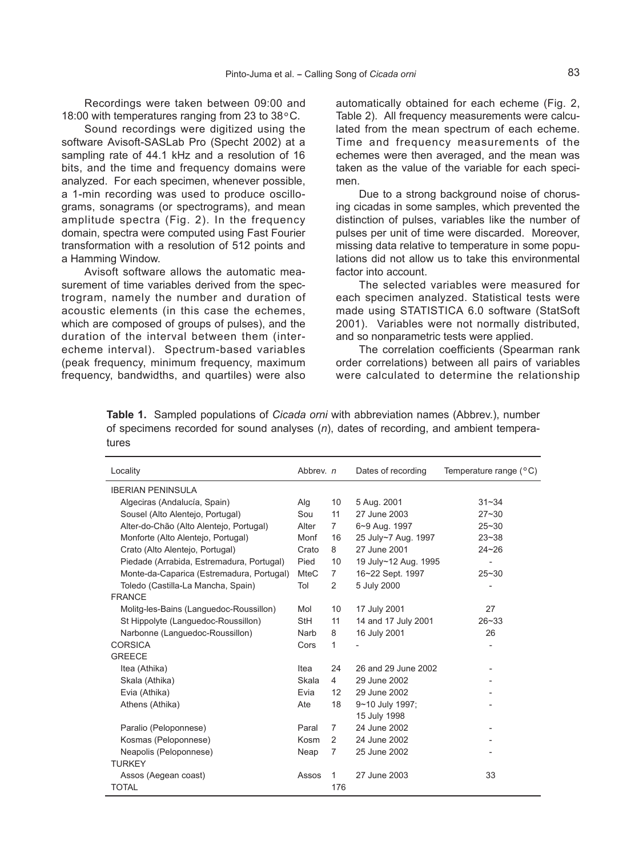Recordings were taken between 09:00 and 18:00 with temperatures ranging from 23 to 38°C.

Sound recordings were digitized using the software Avisoft-SASLab Pro (Specht 2002) at a sampling rate of 44.1 kHz and a resolution of 16 bits, and the time and frequency domains were analyzed. For each specimen, whenever possible, a 1-min recording was used to produce oscillograms, sonagrams (or spectrograms), and mean amplitude spectra (Fig. 2). In the frequency domain, spectra were computed using Fast Fourier transformation with a resolution of 512 points and a Hamming Window.

Avisoft software allows the automatic measurement of time variables derived from the spectrogram, namely the number and duration of acoustic elements (in this case the echemes, which are composed of groups of pulses), and the duration of the interval between them (interecheme interval). Spectrum-based variables (peak frequency, minimum frequency, maximum frequency, bandwidths, and quartiles) were also

automatically obtained for each echeme (Fig. 2, Table 2). All frequency measurements were calculated from the mean spectrum of each echeme. Time and frequency measurements of the echemes were then averaged, and the mean was taken as the value of the variable for each specimen.

Due to a strong background noise of chorusing cicadas in some samples, which prevented the distinction of pulses, variables like the number of pulses per unit of time were discarded. Moreover, missing data relative to temperature in some populations did not allow us to take this environmental factor into account.

The selected variables were measured for each specimen analyzed. Statistical tests were made using STATISTICA 6.0 software (StatSoft 2001). Variables were not normally distributed, and so nonparametric tests were applied.

The correlation coefficients (Spearman rank order correlations) between all pairs of variables were calculated to determine the relationship

**Table 1.** Sampled populations of *Cicada orni* with abbreviation names (Abbrev.), number of specimens recorded for sound analyses (*n*), dates of recording, and ambient temperatures

| Locality                                  | Abbrev. n   |                   | Dates of recording   | Temperature range $(^{\circ}C)$ |
|-------------------------------------------|-------------|-------------------|----------------------|---------------------------------|
| <b>IBERIAN PENINSULA</b>                  |             |                   |                      |                                 |
| Algeciras (Andalucía, Spain)              | Alg         | 10                | 5 Aug. 2001          | $31 - 34$                       |
| Sousel (Alto Alentejo, Portugal)          | Sou         | 11                | 27 June 2003         | $27 - 30$                       |
| Alter-do-Chão (Alto Alentejo, Portugal)   | Alter       | 7                 | 6~9 Aug. 1997        | $25 - 30$                       |
| Monforte (Alto Alentejo, Portugal)        | Monf        | 16                | 25 July~7 Aug. 1997  | $23 - 38$                       |
| Crato (Alto Alentejo, Portugal)           | Crato       | 8                 | 27 June 2001         | $24 - 26$                       |
| Piedade (Arrabida, Estremadura, Portugal) | Pied        | 10                | 19 July~12 Aug. 1995 |                                 |
| Monte-da-Caparica (Estremadura, Portugal) | <b>MteC</b> | $\overline{7}$    | 16~22 Sept. 1997     | $25 - 30$                       |
| Toledo (Castilla-La Mancha, Spain)        | Tol         | 2                 | 5 July 2000          | $\overline{a}$                  |
| <b>FRANCE</b>                             |             |                   |                      |                                 |
| Molitg-les-Bains (Languedoc-Roussillon)   | Mol         | 10                | 17 July 2001         | 27                              |
| St Hippolyte (Languedoc-Roussillon)       | StH         | 11                | 14 and 17 July 2001  | $26 - 33$                       |
| Narbonne (Languedoc-Roussillon)           | Narb        | 8                 | 16 July 2001         | 26                              |
| <b>CORSICA</b>                            | Cors        | 1                 |                      |                                 |
| <b>GREECE</b>                             |             |                   |                      |                                 |
| Itea (Athika)                             | Itea        | 24                | 26 and 29 June 2002  |                                 |
| Skala (Athika)                            | Skala       | 4                 | 29 June 2002         |                                 |
| Evia (Athika)                             | Evia        | $12 \overline{ }$ | 29 June 2002         |                                 |
| Athens (Athika)                           | Ate         | 18                | 9~10 July 1997;      |                                 |
|                                           |             |                   | 15 July 1998         |                                 |
| Paralio (Peloponnese)                     | Paral       | 7                 | 24 June 2002         |                                 |
| Kosmas (Peloponnese)                      | Kosm        | $\mathcal{P}$     | 24 June 2002         |                                 |
| Neapolis (Peloponnese)                    | Neap        | 7                 | 25 June 2002         |                                 |
| <b>TURKEY</b>                             |             |                   |                      |                                 |
| Assos (Aegean coast)                      | Assos       | 1                 | 27 June 2003         | 33                              |
| <b>TOTAL</b>                              |             | 176               |                      |                                 |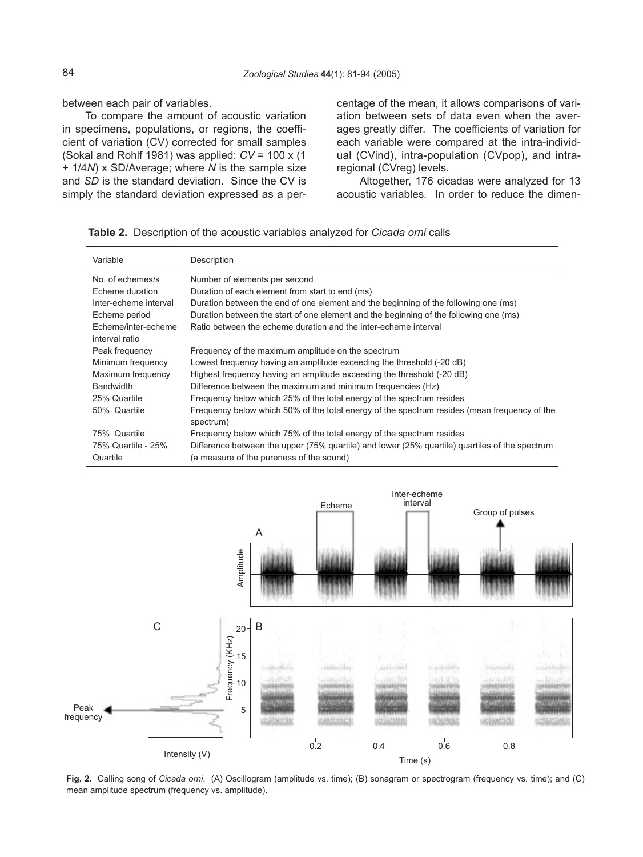between each pair of variables.

To compare the amount of acoustic variation in specimens, populations, or regions, the coefficient of variation (CV) corrected for small samples (Sokal and Rohlf 1981) was applied: *CV* = 100 x (1 + 1/4*N*) x SD/Average; where *N* is the sample size and *SD* is the standard deviation. Since the CV is simply the standard deviation expressed as a percentage of the mean, it allows comparisons of variation between sets of data even when the averages greatly differ. The coefficients of variation for each variable were compared at the intra-individual (CVind), intra-population (CVpop), and intraregional (CVreg) levels.

Altogether, 176 cicadas were analyzed for 13 acoustic variables. In order to reduce the dimen-

| Variable              | Description                                                                                               |
|-----------------------|-----------------------------------------------------------------------------------------------------------|
| No. of echemes/s      | Number of elements per second                                                                             |
| Echeme duration       | Duration of each element from start to end (ms)                                                           |
| Inter-echeme interval | Duration between the end of one element and the beginning of the following one (ms)                       |
| Echeme period         | Duration between the start of one element and the beginning of the following one (ms)                     |
| Echeme/inter-echeme   | Ratio between the echeme duration and the inter-echeme interval                                           |
| interval ratio        |                                                                                                           |
| Peak frequency        | Frequency of the maximum amplitude on the spectrum                                                        |
| Minimum frequency     | Lowest frequency having an amplitude exceeding the threshold (-20 dB)                                     |
| Maximum frequency     | Highest frequency having an amplitude exceeding the threshold (-20 dB)                                    |
| <b>Bandwidth</b>      | Difference between the maximum and minimum frequencies (Hz)                                               |
| 25% Quartile          | Frequency below which 25% of the total energy of the spectrum resides                                     |
| 50% Quartile          | Frequency below which 50% of the total energy of the spectrum resides (mean frequency of the<br>spectrum) |
| 75% Quartile          | Frequency below which 75% of the total energy of the spectrum resides                                     |
| 75% Quartile - 25%    | Difference between the upper (75% quartile) and lower (25% quartile) quartiles of the spectrum            |
| Quartile              | (a measure of the pureness of the sound)                                                                  |





**Fig. 2.** Calling song of *Cicada orni*. (A) Oscillogram (amplitude vs. time); (B) sonagram or spectrogram (frequency vs. time); and (C) mean amplitude spectrum (frequency vs. amplitude).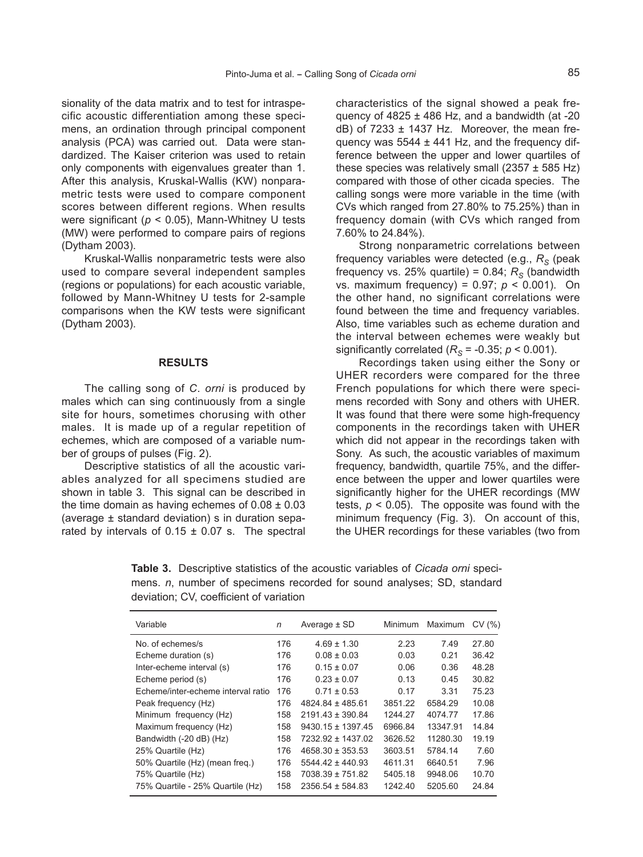sionality of the data matrix and to test for intraspecific acoustic differentiation among these specimens, an ordination through principal component analysis (PCA) was carried out. Data were standardized. The Kaiser criterion was used to retain only components with eigenvalues greater than 1. After this analysis, Kruskal-Wallis (KW) nonparametric tests were used to compare component scores between different regions. When results were significant (*p* < 0.05), Mann-Whitney U tests (MW) were performed to compare pairs of regions (Dytham 2003).

Kruskal-Wallis nonparametric tests were also used to compare several independent samples (regions or populations) for each acoustic variable, followed by Mann-Whitney U tests for 2-sample comparisons when the KW tests were significant (Dytham 2003).

#### **RESULTS**

The calling song of *C*. *orni* is produced by males which can sing continuously from a single site for hours, sometimes chorusing with other males. It is made up of a regular repetition of echemes, which are composed of a variable number of groups of pulses (Fig. 2).

Descriptive statistics of all the acoustic variables analyzed for all specimens studied are shown in table 3. This signal can be described in the time domain as having echemes of  $0.08 \pm 0.03$ (average ± standard deviation) s in duration separated by intervals of  $0.15 \pm 0.07$  s. The spectral characteristics of the signal showed a peak frequency of  $4825 \pm 486$  Hz, and a bandwidth (at -20  $dB$ ) of 7233  $\pm$  1437 Hz. Moreover, the mean frequency was  $5544 \pm 441$  Hz, and the frequency difference between the upper and lower quartiles of these species was relatively small  $(2357 \pm 585 \text{ Hz})$ compared with those of other cicada species. The calling songs were more variable in the time (with CVs which ranged from 27.80% to 75.25%) than in frequency domain (with CVs which ranged from 7.60% to 24.84%).

Strong nonparametric correlations between frequency variables were detected (e.g.,  $R_s$  (peak frequency vs. 25% quartile) = 0.84;  $R_s$  (bandwidth vs. maximum frequency) = 0.97; *p* < 0.001). On the other hand, no significant correlations were found between the time and frequency variables. Also, time variables such as echeme duration and the interval between echemes were weakly but significantly correlated  $(R<sub>S</sub> = -0.35; p < 0.001)$ .

Recordings taken using either the Sony or UHER recorders were compared for the three French populations for which there were specimens recorded with Sony and others with UHER. It was found that there were some high-frequency components in the recordings taken with UHER which did not appear in the recordings taken with Sony. As such, the acoustic variables of maximum frequency, bandwidth, quartile 75%, and the difference between the upper and lower quartiles were significantly higher for the UHER recordings (MW tests,  $p < 0.05$ ). The opposite was found with the minimum frequency (Fig. 3). On account of this, the UHER recordings for these variables (two from

**Table 3.** Descriptive statistics of the acoustic variables of *Cicada orni* specimens. *n*, number of specimens recorded for sound analyses; SD, standard deviation; CV, coefficient of variation

| Variable                           | n   | Average $\pm$ SD      | Minimum | Maximum  | CV(%) |
|------------------------------------|-----|-----------------------|---------|----------|-------|
| No. of echemes/s                   | 176 | $4.69 \pm 1.30$       | 2.23    | 7.49     | 27.80 |
| Echeme duration (s)                | 176 | $0.08 \pm 0.03$       | 0.03    | 0.21     | 36.42 |
| Inter-echeme interval (s)          | 176 | $0.15 \pm 0.07$       | 0.06    | 0.36     | 48.28 |
| Echeme period (s)                  | 176 | $0.23 \pm 0.07$       | 0.13    | 0.45     | 30.82 |
| Echeme/inter-echeme interval ratio | 176 | $0.71 \pm 0.53$       | 0.17    | 3.31     | 75.23 |
| Peak frequency (Hz)                | 176 | $4824.84 \pm 485.61$  | 3851.22 | 6584.29  | 10.08 |
| Minimum frequency (Hz)             | 158 | $2191.43 \pm 390.84$  | 1244.27 | 4074.77  | 17.86 |
| Maximum frequency (Hz)             | 158 | $9430.15 \pm 1397.45$ | 6966.84 | 13347.91 | 14.84 |
| Bandwidth (-20 dB) (Hz)            | 158 | 7232.92 ± 1437.02     | 3626.52 | 11280.30 | 19.19 |
| 25% Quartile (Hz)                  | 176 | $4658.30 \pm 353.53$  | 3603.51 | 5784.14  | 7.60  |
| 50% Quartile (Hz) (mean freq.)     | 176 | $5544.42 \pm 440.93$  | 4611.31 | 6640.51  | 7.96  |
| 75% Quartile (Hz)                  | 158 | 7038.39 ± 751.82      | 5405.18 | 9948.06  | 10.70 |
| 75% Quartile - 25% Quartile (Hz)   | 158 | $2356.54 \pm 584.83$  | 1242.40 | 5205.60  | 24.84 |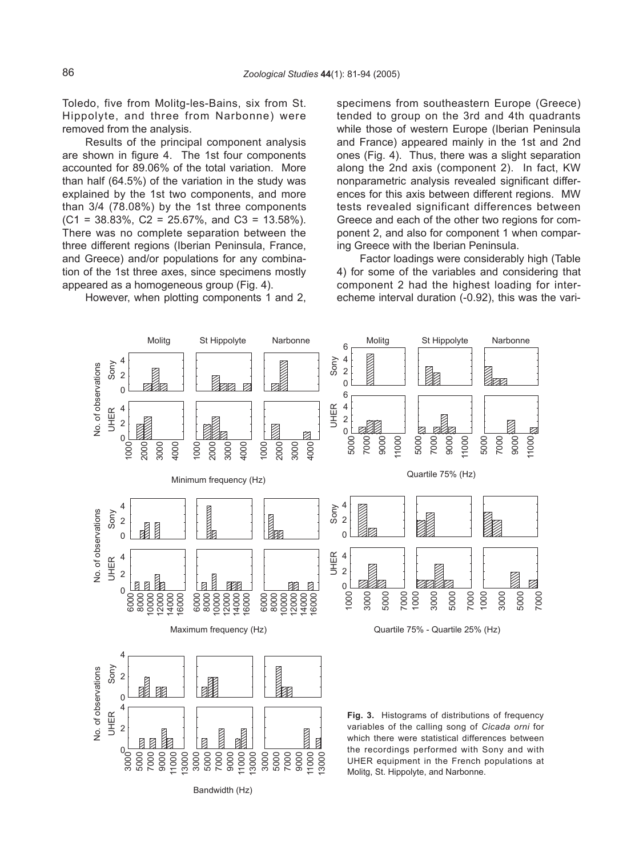Toledo, five from Molitg-les-Bains, six from St. Hippolyte, and three from Narbonne) were removed from the analysis.

Results of the principal component analysis are shown in figure 4. The 1st four components accounted for 89.06% of the total variation. More than half (64.5%) of the variation in the study was explained by the 1st two components, and more than 3/4 (78.08%) by the 1st three components  $(C1 = 38.83\%, C2 = 25.67\%,$  and  $C3 = 13.58\%$ ). There was no complete separation between the three different regions (Iberian Peninsula, France, and Greece) and/or populations for any combination of the 1st three axes, since specimens mostly appeared as a homogeneous group (Fig. 4).

However, when plotting components 1 and 2,

specimens from southeastern Europe (Greece) tended to group on the 3rd and 4th quadrants while those of western Europe (Iberian Peninsula and France) appeared mainly in the 1st and 2nd ones (Fig. 4). Thus, there was a slight separation along the 2nd axis (component 2). In fact, KW nonparametric analysis revealed significant differences for this axis between different regions. MW tests revealed significant differences between Greece and each of the other two regions for component 2, and also for component 1 when comparing Greece with the Iberian Peninsula.

Factor loadings were considerably high (Table 4) for some of the variables and considering that component 2 had the highest loading for interecheme interval duration (-0.92), this was the vari-



Bandwidth (Hz)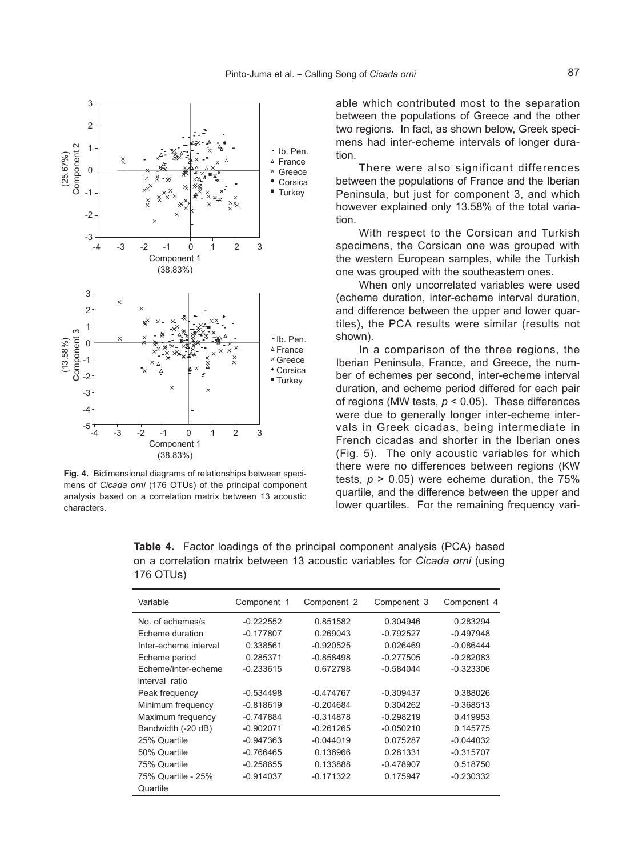

**Fig. 4.** Bidimensional diagrams of relationships between specimens of *Cicada orni* (176 OTUs) of the principal component analysis based on a correlation matrix between 13 acoustic characters.

able which contributed most to the separation between the populations of Greece and the other two regions. In fact, as shown below, Greek specimens had inter-echeme intervals of longer duration.

There were also significant differences between the populations of France and the Iberian Peninsula, but just for component 3, and which however explained only 13.58% of the total variation.

With respect to the Corsican and Turkish specimens, the Corsican one was grouped with the western European samples, while the Turkish one was grouped with the southeastern ones.

When only uncorrelated variables were used (echeme duration, inter-echeme interval duration, and difference between the upper and lower quartiles), the PCA results were similar (results not shown).

In a comparison of the three regions, the Iberian Peninsula, France, and Greece, the number of echemes per second, inter-echeme interval duration, and echeme period differed for each pair of regions (MW tests, *p* < 0.05). These differences were due to generally longer inter-echeme intervals in Greek cicadas, being intermediate in French cicadas and shorter in the Iberian ones (Fig. 5). The only acoustic variables for which there were no differences between regions (KW tests,  $p > 0.05$ ) were echeme duration, the  $75%$ quartile, and the difference between the upper and lower quartiles. For the remaining frequency vari-

**Table 4.** Factor loadings of the principal component analysis (PCA) based on a correlation matrix between 13 acoustic variables for *Cicada orni* (using 176 OTUs)

| Variable              | Component 1 | Component 2 | Component 3 | Component 4 |
|-----------------------|-------------|-------------|-------------|-------------|
| No of echemes/s       | $-0.222552$ | 0.851582    | 0.304946    | 0.283294    |
| Echeme duration       | $-0.177807$ | 0.269043    | $-0.792527$ | $-0.497948$ |
| Inter-echeme interval | 0.338561    | $-0.920525$ | 0.026469    | $-0.086444$ |
| Echeme period         | 0.285371    | $-0.858498$ | $-0.277505$ | $-0.282083$ |
| Echeme/inter-echeme   | $-0.233615$ | 0.672798    | $-0.584044$ | $-0.323306$ |
| interval ratio        |             |             |             |             |
| Peak frequency        | $-0.534498$ | $-0.474767$ | $-0.309437$ | 0.388026    |
| Minimum frequency     | $-0.818619$ | $-0.204684$ | 0.304262    | $-0.368513$ |
| Maximum frequency     | $-0.747884$ | $-0.314878$ | $-0.298219$ | 0.419953    |
| Bandwidth (-20 dB)    | $-0.902071$ | $-0.261265$ | $-0.050210$ | 0.145775    |
| 25% Quartile          | $-0.947363$ | $-0.044019$ | 0.075287    | $-0.044032$ |
| 50% Quartile          | $-0.766465$ | 0.136966    | 0.281331    | $-0.315707$ |
| 75% Quartile          | $-0.258655$ | 0.133888    | $-0.478907$ | 0.518750    |
| 75% Quartile - 25%    | $-0.914037$ | $-0.171322$ | 0.175947    | $-0.230332$ |
| Quartile              |             |             |             |             |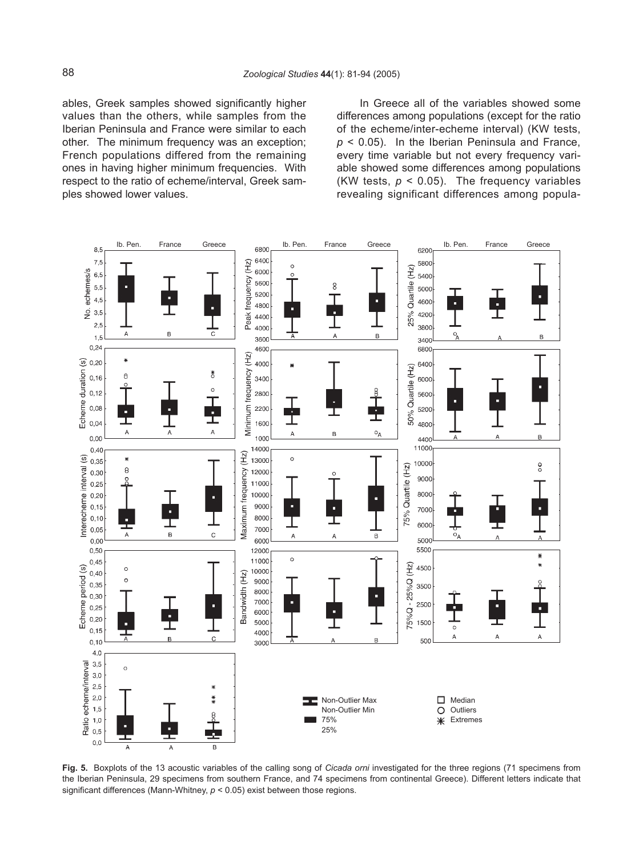ables, Greek samples showed significantly higher values than the others, while samples from the Iberian Peninsula and France were similar to each other. The minimum frequency was an exception; French populations differed from the remaining ones in having higher minimum frequencies. With respect to the ratio of echeme/interval, Greek samples showed lower values.

In Greece all of the variables showed some differences among populations (except for the ratio of the echeme/inter-echeme interval) (KW tests, *p* < 0.05). In the Iberian Peninsula and France, every time variable but not every frequency variable showed some differences among populations (KW tests,  $p < 0.05$ ). The frequency variables revealing significant differences among popula-



**Fig. 5.** Boxplots of the 13 acoustic variables of the calling song of *Cicada orni* investigated for the three regions (71 specimens from the Iberian Peninsula, 29 specimens from southern France, and 74 specimens from continental Greece). Different letters indicate that significant differences (Mann-Whitney, *p* < 0.05) exist between those regions.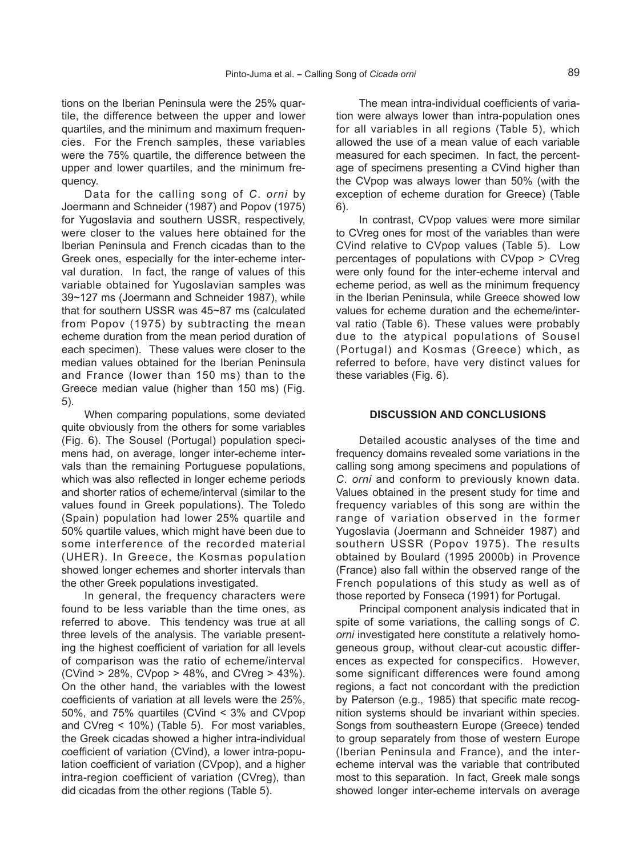tions on the Iberian Peninsula were the 25% quartile, the difference between the upper and lower quartiles, and the minimum and maximum frequencies. For the French samples, these variables were the 75% quartile, the difference between the upper and lower quartiles, and the minimum frequency.

Data for the calling song of *C*. *orni* by Joermann and Schneider (1987) and Popov (1975) for Yugoslavia and southern USSR, respectively, were closer to the values here obtained for the Iberian Peninsula and French cicadas than to the Greek ones, especially for the inter-echeme interval duration. In fact, the range of values of this variable obtained for Yugoslavian samples was 39~127 ms (Joermann and Schneider 1987), while that for southern USSR was 45~87 ms (calculated from Popov (1975) by subtracting the mean echeme duration from the mean period duration of each specimen). These values were closer to the median values obtained for the Iberian Peninsula and France (lower than 150 ms) than to the Greece median value (higher than 150 ms) (Fig. 5).

When comparing populations, some deviated quite obviously from the others for some variables (Fig. 6). The Sousel (Portugal) population specimens had, on average, longer inter-echeme intervals than the remaining Portuguese populations, which was also reflected in longer echeme periods and shorter ratios of echeme/interval (similar to the values found in Greek populations). The Toledo (Spain) population had lower 25% quartile and 50% quartile values, which might have been due to some interference of the recorded material (UHER). In Greece, the Kosmas population showed longer echemes and shorter intervals than the other Greek populations investigated.

In general, the frequency characters were found to be less variable than the time ones, as referred to above. This tendency was true at all three levels of the analysis. The variable presenting the highest coefficient of variation for all levels of comparison was the ratio of echeme/interval (CVind > 28%, CVpop > 48%, and CVreg > 43%). On the other hand, the variables with the lowest coefficients of variation at all levels were the 25%, 50%, and 75% quartiles (CVind < 3% and CVpop and CVreg < 10%) (Table 5). For most variables, the Greek cicadas showed a higher intra-individual coefficient of variation (CVind), a lower intra-population coefficient of variation (CVpop), and a higher intra-region coefficient of variation (CVreg), than did cicadas from the other regions (Table 5).

The mean intra-individual coefficients of variation were always lower than intra-population ones for all variables in all regions (Table 5), which allowed the use of a mean value of each variable measured for each specimen. In fact, the percentage of specimens presenting a CVind higher than the CVpop was always lower than 50% (with the exception of echeme duration for Greece) (Table 6).

In contrast, CVpop values were more similar to CVreg ones for most of the variables than were CVind relative to CVpop values (Table 5). Low percentages of populations with CVpop > CVreg were only found for the inter-echeme interval and echeme period, as well as the minimum frequency in the Iberian Peninsula, while Greece showed low values for echeme duration and the echeme/interval ratio (Table 6). These values were probably due to the atypical populations of Sousel (Portugal) and Kosmas (Greece) which, as referred to before, have very distinct values for these variables (Fig. 6).

#### **DISCUSSION AND CONCLUSIONS**

Detailed acoustic analyses of the time and frequency domains revealed some variations in the calling song among specimens and populations of *C*. *orni* and conform to previously known data. Values obtained in the present study for time and frequency variables of this song are within the range of variation observed in the former Yugoslavia (Joermann and Schneider 1987) and southern USSR (Popov 1975). The results obtained by Boulard (1995 2000b) in Provence (France) also fall within the observed range of the French populations of this study as well as of those reported by Fonseca (1991) for Portugal.

Principal component analysis indicated that in spite of some variations, the calling songs of *C*. *orni* investigated here constitute a relatively homogeneous group, without clear-cut acoustic differences as expected for conspecifics. However, some significant differences were found among regions, a fact not concordant with the prediction by Paterson (e.g., 1985) that specific mate recognition systems should be invariant within species. Songs from southeastern Europe (Greece) tended to group separately from those of western Europe (Iberian Peninsula and France), and the interecheme interval was the variable that contributed most to this separation. In fact, Greek male songs showed longer inter-echeme intervals on average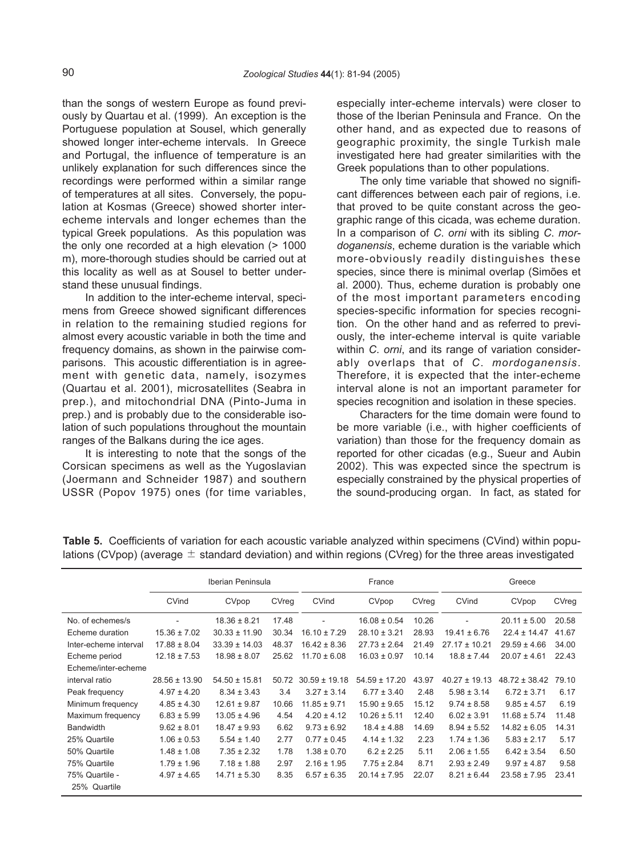than the songs of western Europe as found previously by Quartau et al. (1999). An exception is the Portuguese population at Sousel, which generally showed longer inter-echeme intervals. In Greece and Portugal, the influence of temperature is an unlikely explanation for such differences since the recordings were performed within a similar range of temperatures at all sites. Conversely, the population at Kosmas (Greece) showed shorter interecheme intervals and longer echemes than the typical Greek populations. As this population was the only one recorded at a high elevation (> 1000 m), more-thorough studies should be carried out at this locality as well as at Sousel to better understand these unusual findings.

In addition to the inter-echeme interval, specimens from Greece showed significant differences in relation to the remaining studied regions for almost every acoustic variable in both the time and frequency domains, as shown in the pairwise comparisons. This acoustic differentiation is in agreement with genetic data, namely, isozymes (Quartau et al. 2001), microsatellites (Seabra in prep.), and mitochondrial DNA (Pinto-Juma in prep.) and is probably due to the considerable isolation of such populations throughout the mountain ranges of the Balkans during the ice ages.

It is interesting to note that the songs of the Corsican specimens as well as the Yugoslavian (Joermann and Schneider 1987) and southern USSR (Popov 1975) ones (for time variables, especially inter-echeme intervals) were closer to those of the Iberian Peninsula and France. On the other hand, and as expected due to reasons of geographic proximity, the single Turkish male investigated here had greater similarities with the Greek populations than to other populations.

The only time variable that showed no significant differences between each pair of regions, i.e. that proved to be quite constant across the geographic range of this cicada, was echeme duration. In a comparison of *C*. *orni* with its sibling *C*. *mordoganensis*, echeme duration is the variable which more-obviously readily distinguishes these species, since there is minimal overlap (Simões et al. 2000). Thus, echeme duration is probably one of the most important parameters encoding species-specific information for species recognition. On the other hand and as referred to previously, the inter-echeme interval is quite variable within *C*. *orni*, and its range of variation considerably overlaps that of *C*. *mordoganensis*. Therefore, it is expected that the inter-echeme interval alone is not an important parameter for species recognition and isolation in these species.

Characters for the time domain were found to be more variable (i.e., with higher coefficients of variation) than those for the frequency domain as reported for other cicadas (e.g., Sueur and Aubin 2002). This was expected since the spectrum is especially constrained by the physical properties of the sound-producing organ. In fact, as stated for

|                       | Iberian Peninsula |                   |       | France            |                   |       | Greece            |                   |       |
|-----------------------|-------------------|-------------------|-------|-------------------|-------------------|-------|-------------------|-------------------|-------|
|                       | CVind             | CVpop             | CVreg | CVind             | CVpop             | CVreg | CVind             | CVpop             | CVreq |
| No. of echemes/s      | $\overline{a}$    | $18.36 \pm 8.21$  | 17.48 |                   | $16.08 \pm 0.54$  | 10.26 |                   | $20.11 \pm 5.00$  | 20.58 |
| Echeme duration       | $15.36 \pm 7.02$  | $30.33 \pm 11.90$ | 30.34 | $16.10 \pm 7.29$  | $28.10 \pm 3.21$  | 28.93 | $19.41 \pm 6.76$  | $22.4 \pm 14.47$  | 41.67 |
| Inter-echeme interval | $17.88 \pm 8.04$  | $33.39 \pm 14.03$ | 48.37 | $16.42 \pm 8.36$  | $27.73 \pm 2.64$  | 21.49 | $27.17 \pm 10.21$ | $29.59 \pm 4.66$  | 34.00 |
| Echeme period         | $12.18 \pm 7.53$  | $18.98 \pm 8.07$  | 25.62 | $11.70 \pm 6.08$  | $16.03 \pm 0.97$  | 10.14 | $18.8 \pm 7.44$   | $20.07 \pm 4.61$  | 22.43 |
| Echeme/inter-echeme   |                   |                   |       |                   |                   |       |                   |                   |       |
| interval ratio        | $28.56 \pm 13.90$ | $54.50 \pm 15.81$ | 50.72 | $30.59 \pm 19.18$ | $54.59 \pm 17.20$ | 43.97 | $40.27 \pm 19.13$ | $48.72 \pm 38.42$ | 79.10 |
| Peak frequency        | $4.97 \pm 4.20$   | $8.34 \pm 3.43$   | 3.4   | $3.27 \pm 3.14$   | $6.77 \pm 3.40$   | 2.48  | $5.98 \pm 3.14$   | $6.72 \pm 3.71$   | 6.17  |
| Minimum frequency     | $4.85 \pm 4.30$   | $12.61 \pm 9.87$  | 10.66 | $11.85 \pm 9.71$  | $15.90 \pm 9.65$  | 15.12 | $9.74 \pm 8.58$   | $9.85 \pm 4.57$   | 6.19  |
| Maximum frequency     | $6.83 \pm 5.99$   | $13.05 \pm 4.96$  | 4.54  | $4.20 \pm 4.12$   | $10.26 \pm 5.11$  | 12.40 | $6.02 \pm 3.91$   | $11.68 \pm 5.74$  | 11.48 |
| <b>Bandwidth</b>      | $9.62 \pm 8.01$   | $18.47 \pm 9.93$  | 6.62  | $9.73 \pm 6.92$   | $18.4 \pm 4.88$   | 14.69 | $8.94 \pm 5.52$   | $14.82 \pm 6.05$  | 14.31 |
| 25% Quartile          | $1.06 \pm 0.53$   | $5.54 \pm 1.40$   | 2.77  | $0.77 \pm 0.45$   | $4.14 \pm 1.32$   | 2.23  | $1.74 \pm 1.36$   | $5.83 \pm 2.17$   | 5.17  |
| 50% Quartile          | $1.48 \pm 1.08$   | $7.35 \pm 2.32$   | 1.78  | $1.38 \pm 0.70$   | $6.2 \pm 2.25$    | 5.11  | $2.06 \pm 1.55$   | $6.42 \pm 3.54$   | 6.50  |
| 75% Quartile          | $1.79 \pm 1.96$   | $7.18 \pm 1.88$   | 2.97  | $2.16 \pm 1.95$   | $7.75 \pm 2.84$   | 8.71  | $2.93 \pm 2.49$   | $9.97 \pm 4.87$   | 9.58  |
| 75% Quartile -        | $4.97 \pm 4.65$   | $14.71 \pm 5.30$  | 8.35  | $6.57 \pm 6.35$   | $20.14 \pm 7.95$  | 22.07 | $8.21 \pm 6.44$   | $23.58 \pm 7.95$  | 23.41 |
| 25% Quartile          |                   |                   |       |                   |                   |       |                   |                   |       |

**Table 5.** Coefficients of variation for each acoustic variable analyzed within specimens (CVind) within populations (CVpop) (average  $\pm$  standard deviation) and within regions (CVreg) for the three areas investigated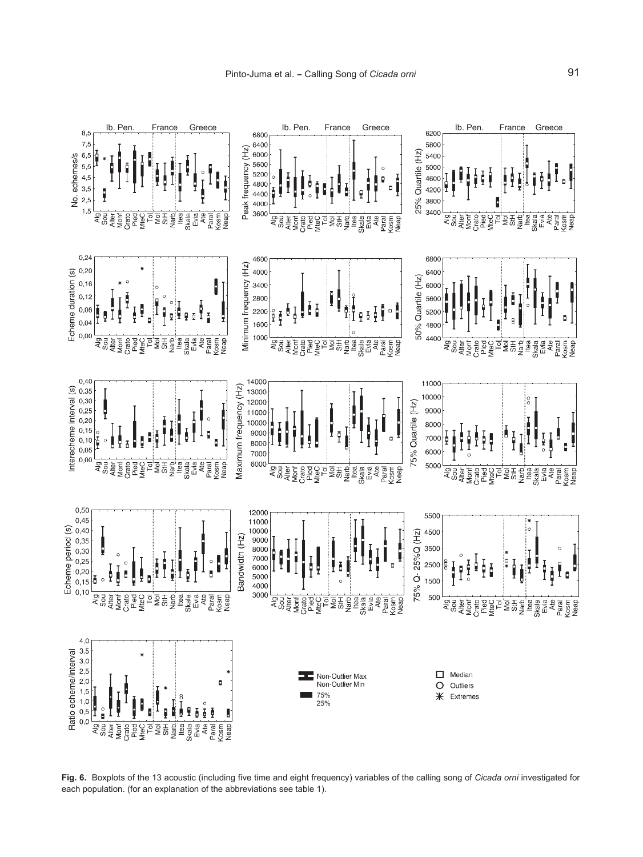

**Fig. 6.** Boxplots of the 13 acoustic (including five time and eight frequency) variables of the calling song of *Cicada orni* investigated for each population. (for an explanation of the abbreviations see table 1).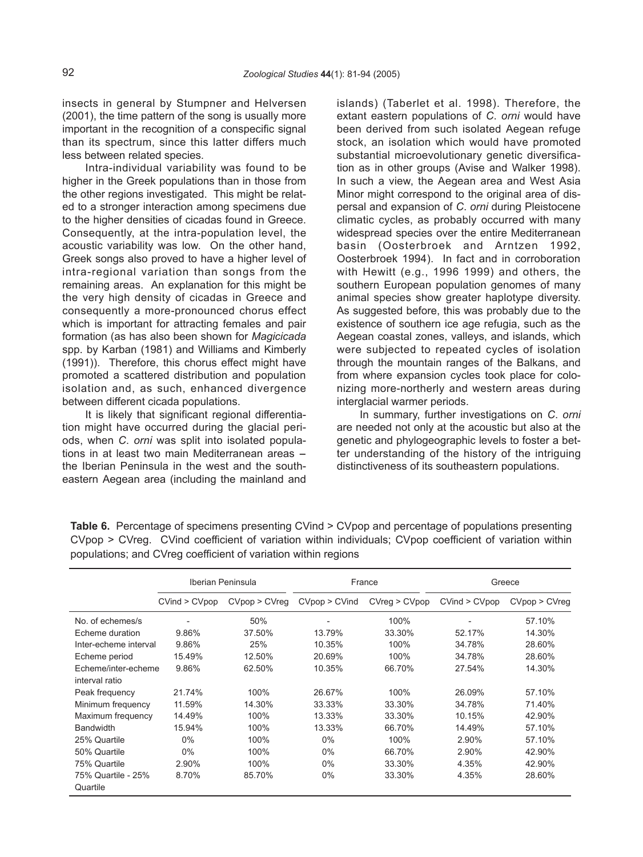insects in general by Stumpner and Helversen (2001), the time pattern of the song is usually more important in the recognition of a conspecific signal than its spectrum, since this latter differs much less between related species.

Intra-individual variability was found to be higher in the Greek populations than in those from the other regions investigated. This might be related to a stronger interaction among specimens due to the higher densities of cicadas found in Greece. Consequently, at the intra-population level, the acoustic variability was low. On the other hand, Greek songs also proved to have a higher level of intra-regional variation than songs from the remaining areas. An explanation for this might be the very high density of cicadas in Greece and consequently a more-pronounced chorus effect which is important for attracting females and pair formation (as has also been shown for *Magicicada* spp. by Karban (1981) and Williams and Kimberly (1991)). Therefore, this chorus effect might have promoted a scattered distribution and population isolation and, as such, enhanced divergence between different cicada populations.

It is likely that significant regional differentiation might have occurred during the glacial periods, when *C*. *orni* was split into isolated populations in at least two main Mediterranean areas  $$ the Iberian Peninsula in the west and the southeastern Aegean area (including the mainland and islands) (Taberlet et al. 1998). Therefore, the extant eastern populations of *C*. *orni* would have been derived from such isolated Aegean refuge stock, an isolation which would have promoted substantial microevolutionary genetic diversification as in other groups (Avise and Walker 1998). In such a view, the Aegean area and West Asia Minor might correspond to the original area of dispersal and expansion of *C*. *orni* during Pleistocene climatic cycles, as probably occurred with many widespread species over the entire Mediterranean basin (Oosterbroek and Arntzen 1992, Oosterbroek 1994). In fact and in corroboration with Hewitt (e.g., 1996 1999) and others, the southern European population genomes of many animal species show greater haplotype diversity. As suggested before, this was probably due to the existence of southern ice age refugia, such as the Aegean coastal zones, valleys, and islands, which were subjected to repeated cycles of isolation through the mountain ranges of the Balkans, and from where expansion cycles took place for colonizing more-northerly and western areas during interglacial warmer periods.

In summary, further investigations on *C*. *orni* are needed not only at the acoustic but also at the genetic and phylogeographic levels to foster a better understanding of the history of the intriguing distinctiveness of its southeastern populations.

|                                | Iberian Peninsula |               | France        |               | Greece        |               |
|--------------------------------|-------------------|---------------|---------------|---------------|---------------|---------------|
|                                | CVind > CVpop     | CVpop > CVreg | CVpop > CVind | CVreg > CVpop | CVind > CVpop | CVpop > CVreq |
| No. of echemes/s               |                   | 50%           | -             | 100%          |               | 57.10%        |
| Echeme duration                | 9.86%             | 37.50%        | 13.79%        | 33.30%        | 52.17%        | 14.30%        |
| Inter-echeme interval          | 9.86%             | 25%           | 10.35%        | 100%          | 34.78%        | 28.60%        |
| Echeme period                  | 15.49%            | 12.50%        | 20.69%        | 100%          | 34.78%        | 28.60%        |
| Echeme/inter-echeme            | 9.86%             | 62.50%        | 10.35%        | 66.70%        | 27.54%        | 14.30%        |
| interval ratio                 |                   |               |               |               |               |               |
| Peak frequency                 | 21.74%            | 100%          | 26.67%        | 100%          | 26.09%        | 57.10%        |
| Minimum frequency              | 11.59%            | 14.30%        | 33.33%        | 33.30%        | 34.78%        | 71.40%        |
| Maximum frequency              | 14.49%            | 100%          | 13.33%        | 33.30%        | 10.15%        | 42.90%        |
| <b>Bandwidth</b>               | 15.94%            | 100%          | 13.33%        | 66.70%        | 14.49%        | 57.10%        |
| 25% Quartile                   | $0\%$             | 100%          | 0%            | 100%          | 2.90%         | 57.10%        |
| 50% Quartile                   | $0\%$             | 100%          | $0\%$         | 66.70%        | 2.90%         | 42.90%        |
| 75% Quartile                   | 2.90%             | 100%          | $0\%$         | 33.30%        | 4.35%         | 42.90%        |
| 75% Quartile - 25%<br>Quartile | 8.70%             | 85.70%        | $0\%$         | 33.30%        | 4.35%         | 28.60%        |

**Table 6.** Percentage of specimens presenting CVind > CVpop and percentage of populations presenting CVpop > CVreg. CVind coefficient of variation within individuals; CVpop coefficient of variation within populations; and CVreg coefficient of variation within regions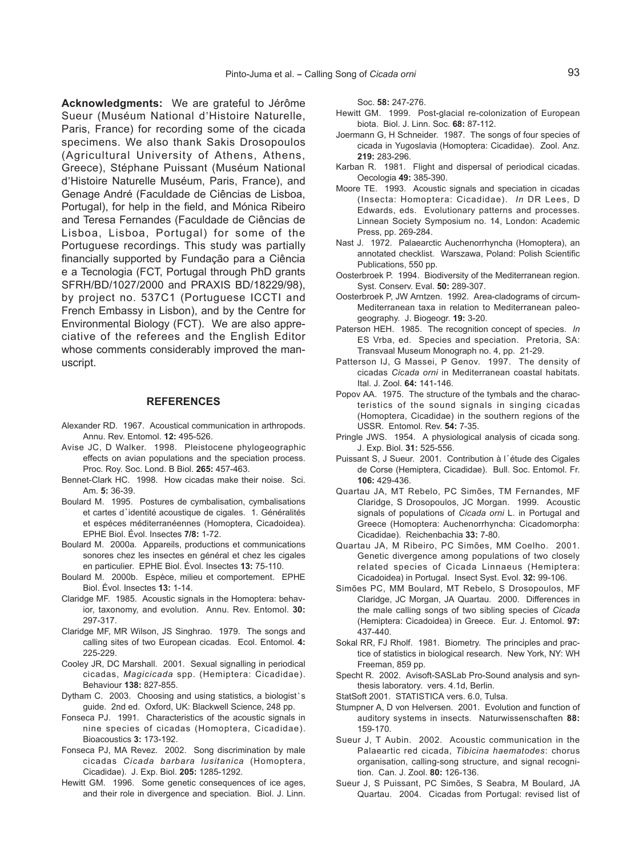**Acknowledgments:** We are grateful to Jérôme Sueur (Muséum National d, Histoire Naturelle, Paris, France) for recording some of the cicada specimens. We also thank Sakis Drosopoulos (Agricultural University of Athens, Athens, Greece), Stéphane Puissant (Muséum National d , Histoire Naturelle Muséum, Paris, France), and Genage André (Faculdade de Ciências de Lisboa, Portugal), for help in the field, and Mónica Ribeiro and Teresa Fernandes (Faculdade de Ciências de Lisboa, Lisboa, Portugal) for some of the Portuguese recordings. This study was partially financially supported by Fundação para a Ciência e a Tecnologia (FCT, Portugal through PhD grants SFRH/BD/1027/2000 and PRAXIS BD/18229/98), by project no. 537C1 (Portuguese ICCTI and French Embassy in Lisbon), and by the Centre for Environmental Biology (FCT). We are also appreciative of the referees and the English Editor whose comments considerably improved the manuscript.

### **REFERENCES**

- Alexander RD. 1967. Acoustical communication in arthropods. Annu. Rev. Entomol. **12:** 495-526.
- Avise JC, D Walker. 1998. Pleistocene phylogeographic effects on avian populations and the speciation process. Proc. Roy. Soc. Lond. B Biol. **265:** 457-463.
- Bennet-Clark HC. 1998. How cicadas make their noise. Sci. Am. **5:** 36-39.
- Boulard M. 1995. Postures de cymbalisation, cymbalisations et cartes d'identité acoustique de cigales. 1. Généralités et espéces méditerranéennes (Homoptera, Cicadoidea). EPHE Biol. Évol. Insectes **7/8:** 1-72.
- Boulard M. 2000a. Appareils, productions et communications sonores chez les insectes en général et chez les cigales en particulier. EPHE Biol. Évol. Insectes **13:** 75-110.
- Boulard M. 2000b. Espèce, milieu et comportement. EPHE Biol. Évol. Insectes **13:** 1-14.
- Claridge MF. 1985. Acoustic signals in the Homoptera: behavior, taxonomy, and evolution. Annu. Rev. Entomol. **30:** 297-317.
- Claridge MF, MR Wilson, JS Singhrao. 1979. The songs and calling sites of two European cicadas. Ecol. Entomol. **4:** 225-229.
- Cooley JR, DC Marshall. 2001. Sexual signalling in periodical cicadas, *Magicicada* spp. (Hemiptera: Cicadidae). Behaviour **138:** 827-855.
- Dytham C. 2003. Choosing and using statistics, a biologist's guide. 2nd ed. Oxford, UK: Blackwell Science, 248 pp.
- Fonseca PJ. 1991. Characteristics of the acoustic signals in nine species of cicadas (Homoptera, Cicadidae). Bioacoustics **3:** 173-192.
- Fonseca PJ, MA Revez. 2002. Song discrimination by male cicadas *Cicada barbara lusitanica* (Homoptera, Cicadidae). J. Exp. Biol. **205:** 1285-1292.
- Hewitt GM. 1996. Some genetic consequences of ice ages, and their role in divergence and speciation. Biol. J. Linn.

Soc. **58:** 247-276.

- Hewitt GM. 1999. Post-glacial re-colonization of European biota. Biol. J. Linn. Soc. **68:** 87-112.
- Joermann G, H Schneider. 1987. The songs of four species of cicada in Yugoslavia (Homoptera: Cicadidae). Zool. Anz. **219:** 283-296.
- Karban R. 1981. Flight and dispersal of periodical cicadas. Oecologia **49:** 385-390.
- Moore TE. 1993. Acoustic signals and speciation in cicadas (Insecta: Homoptera: Cicadidae). *In* DR Lees, D Edwards, eds. Evolutionary patterns and processes. Linnean Society Symposium no. 14, London: Academic Press, pp. 269-284.
- Nast J. 1972. Palaearctic Auchenorrhyncha (Homoptera), an annotated checklist. Warszawa, Poland: Polish Scientific Publications, 550 pp.
- Oosterbroek P. 1994. Biodiversity of the Mediterranean region. Syst. Conserv. Eval. **50:** 289-307.
- Oosterbroek P, JW Arntzen. 1992. Area-cladograms of circum-Mediterranean taxa in relation to Mediterranean paleogeography. J. Biogeogr. **19:** 3-20.
- Paterson HEH. 1985. The recognition concept of species. *In* ES Vrba, ed. Species and speciation. Pretoria, SA: Transvaal Museum Monograph no. 4, pp. 21-29.
- Patterson IJ, G Massei, P Genov. 1997. The density of cicadas *Cicada orni* in Mediterranean coastal habitats. Ital. J. Zool. **64:** 141-146.
- Popov AA. 1975. The structure of the tymbals and the characteristics of the sound signals in singing cicadas (Homoptera, Cicadidae) in the southern regions of the USSR. Entomol. Rev. **54:** 7-35.
- Pringle JWS. 1954. A physiological analysis of cicada song. J. Exp. Biol. **31:** 525-556.
- Puissant S, J Sueur. 2001. Contribution à l'étude des Cigales de Corse (Hemiptera, Cicadidae). Bull. Soc. Entomol. Fr. **106:** 429-436.
- Quartau JA, MT Rebelo, PC Simões, TM Fernandes, MF Claridge, S Drosopoulos, JC Morgan. 1999. Acoustic signals of populations of *Cicada orni* L. in Portugal and Greece (Homoptera: Auchenorrhyncha: Cicadomorpha: Cicadidae). Reichenbachia **33:** 7-80.
- Quartau JA, M Ribeiro, PC Simões, MM Coelho. 2001. Genetic divergence among populations of two closely related species of Cicada Linnaeus (Hemiptera: Cicadoidea) in Portugal. Insect Syst. Evol. **32:** 99-106.
- Simões PC, MM Boulard, MT Rebelo, S Drosopoulos, MF Claridge, JC Morgan, JA Quartau. 2000. Differences in the male calling songs of two sibling species of *Cicada* (Hemiptera: Cicadoidea) in Greece. Eur. J. Entomol. **97:** 437-440.
- Sokal RR, FJ Rholf. 1981. Biometry. The principles and practice of statistics in biological research. New York, NY: WH Freeman, 859 pp.
- Specht R. 2002. Avisoft-SASLab Pro-Sound analysis and synthesis laboratory. vers. 4.1d, Berlin.
- StatSoft 2001. STATISTICA vers. 6.0, Tulsa.
- Stumpner A, D von Helversen. 2001. Evolution and function of auditory systems in insects. Naturwissenschaften **88:** 159-170.
- Sueur J, T Aubin. 2002. Acoustic communication in the Palaeartic red cicada, *Tibicina haematodes*: chorus organisation, calling-song structure, and signal recognition. Can. J. Zool. **80:** 126-136.
- Sueur J, S Puissant, PC Simões, S Seabra, M Boulard, JA Quartau. 2004. Cicadas from Portugal: revised list of